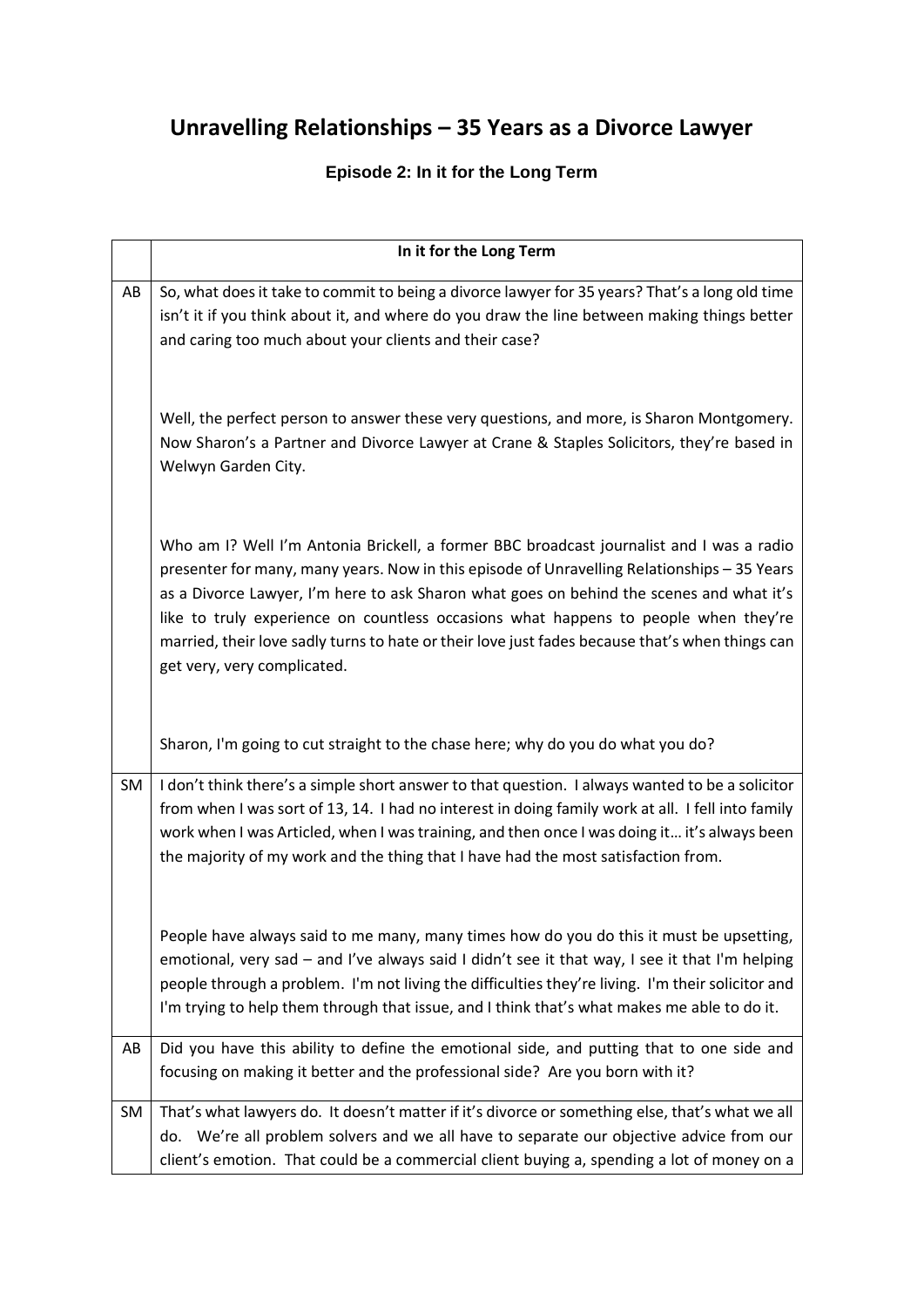## **Unravelling Relationships – 35 Years as a Divorce Lawyer**

## **Episode 2: In it for the Long Term**

|    | In it for the Long Term                                                                                                                                                                                                                                                                                                                                                                                                                                                                                      |
|----|--------------------------------------------------------------------------------------------------------------------------------------------------------------------------------------------------------------------------------------------------------------------------------------------------------------------------------------------------------------------------------------------------------------------------------------------------------------------------------------------------------------|
| AB | So, what does it take to commit to being a divorce lawyer for 35 years? That's a long old time<br>isn't it if you think about it, and where do you draw the line between making things better<br>and caring too much about your clients and their case?                                                                                                                                                                                                                                                      |
|    | Well, the perfect person to answer these very questions, and more, is Sharon Montgomery.<br>Now Sharon's a Partner and Divorce Lawyer at Crane & Staples Solicitors, they're based in<br>Welwyn Garden City.                                                                                                                                                                                                                                                                                                 |
|    | Who am I? Well I'm Antonia Brickell, a former BBC broadcast journalist and I was a radio<br>presenter for many, many years. Now in this episode of Unravelling Relationships - 35 Years<br>as a Divorce Lawyer, I'm here to ask Sharon what goes on behind the scenes and what it's<br>like to truly experience on countless occasions what happens to people when they're<br>married, their love sadly turns to hate or their love just fades because that's when things can<br>get very, very complicated. |
|    | Sharon, I'm going to cut straight to the chase here; why do you do what you do?                                                                                                                                                                                                                                                                                                                                                                                                                              |
| SM | I don't think there's a simple short answer to that question. I always wanted to be a solicitor<br>from when I was sort of 13, 14. I had no interest in doing family work at all. I fell into family<br>work when I was Articled, when I was training, and then once I was doing it it's always been<br>the majority of my work and the thing that I have had the most satisfaction from.                                                                                                                    |
|    | People have always said to me many, many times how do you do this it must be upsetting,<br>emotional, very sad - and I've always said I didn't see it that way, I see it that I'm helping<br>people through a problem. I'm not living the difficulties they're living. I'm their solicitor and<br>I'm trying to help them through that issue, and I think that's what makes me able to do it.                                                                                                                |
| AB | Did you have this ability to define the emotional side, and putting that to one side and                                                                                                                                                                                                                                                                                                                                                                                                                     |
|    | focusing on making it better and the professional side? Are you born with it?                                                                                                                                                                                                                                                                                                                                                                                                                                |
| SM | That's what lawyers do. It doesn't matter if it's divorce or something else, that's what we all                                                                                                                                                                                                                                                                                                                                                                                                              |
|    | do. We're all problem solvers and we all have to separate our objective advice from our<br>client's emotion. That could be a commercial client buying a, spending a lot of money on a                                                                                                                                                                                                                                                                                                                        |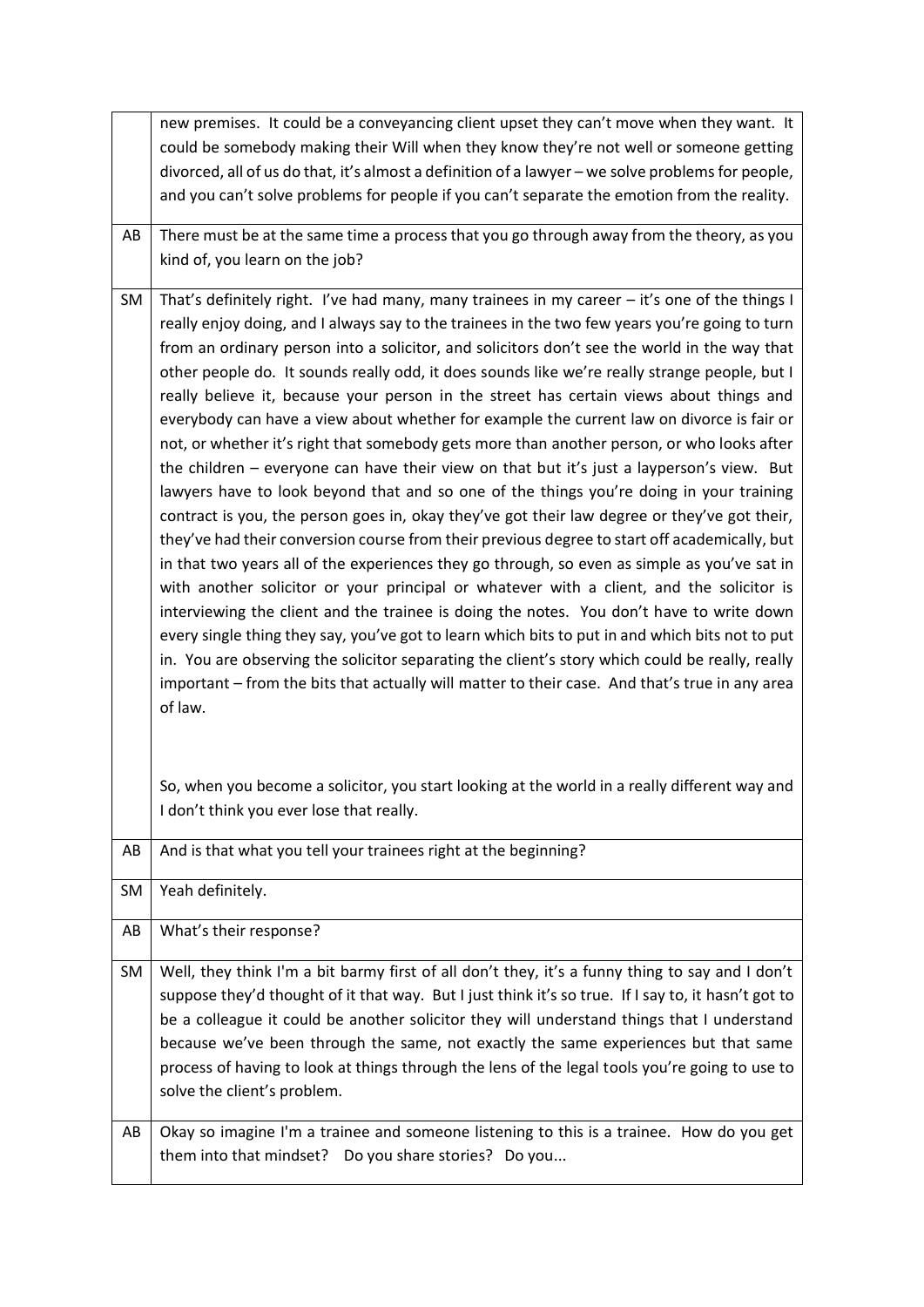|    | new premises. It could be a conveyancing client upset they can't move when they want. It            |
|----|-----------------------------------------------------------------------------------------------------|
|    | could be somebody making their Will when they know they're not well or someone getting              |
|    | divorced, all of us do that, it's almost a definition of a lawyer - we solve problems for people,   |
|    | and you can't solve problems for people if you can't separate the emotion from the reality.         |
|    |                                                                                                     |
| AB | There must be at the same time a process that you go through away from the theory, as you           |
|    | kind of, you learn on the job?                                                                      |
|    |                                                                                                     |
| SM | That's definitely right. I've had many, many trainees in my career - it's one of the things I       |
|    | really enjoy doing, and I always say to the trainees in the two few years you're going to turn      |
|    | from an ordinary person into a solicitor, and solicitors don't see the world in the way that        |
|    | other people do. It sounds really odd, it does sounds like we're really strange people, but I       |
|    | really believe it, because your person in the street has certain views about things and             |
|    | everybody can have a view about whether for example the current law on divorce is fair or           |
|    | not, or whether it's right that somebody gets more than another person, or who looks after          |
|    | the children - everyone can have their view on that but it's just a layperson's view. But           |
|    | lawyers have to look beyond that and so one of the things you're doing in your training             |
|    | contract is you, the person goes in, okay they've got their law degree or they've got their,        |
|    | they've had their conversion course from their previous degree to start off academically, but       |
|    | in that two years all of the experiences they go through, so even as simple as you've sat in        |
|    | with another solicitor or your principal or whatever with a client, and the solicitor is            |
|    | interviewing the client and the trainee is doing the notes. You don't have to write down            |
|    | every single thing they say, you've got to learn which bits to put in and which bits not to put     |
|    | in. You are observing the solicitor separating the client's story which could be really, really     |
|    | important – from the bits that actually will matter to their case. And that's true in any area      |
|    | of law.                                                                                             |
|    |                                                                                                     |
|    |                                                                                                     |
|    | So, when you become a solicitor, you start looking at the world in a really different way and       |
|    | I don't think you ever lose that really.                                                            |
|    |                                                                                                     |
| AB | And is that what you tell your trainees right at the beginning?                                     |
|    |                                                                                                     |
| SM | Yeah definitely.                                                                                    |
| AB | What's their response?                                                                              |
|    |                                                                                                     |
| SM | Well, they think I'm a bit barmy first of all don't they, it's a funny thing to say and I don't     |
|    | suppose they'd thought of it that way. But I just think it's so true. If I say to, it hasn't got to |
|    | be a colleague it could be another solicitor they will understand things that I understand          |
|    | because we've been through the same, not exactly the same experiences but that same                 |
|    | process of having to look at things through the lens of the legal tools you're going to use to      |
|    | solve the client's problem.                                                                         |
|    |                                                                                                     |
| AB | Okay so imagine I'm a trainee and someone listening to this is a trainee. How do you get            |
|    | them into that mindset? Do you share stories? Do you                                                |
|    |                                                                                                     |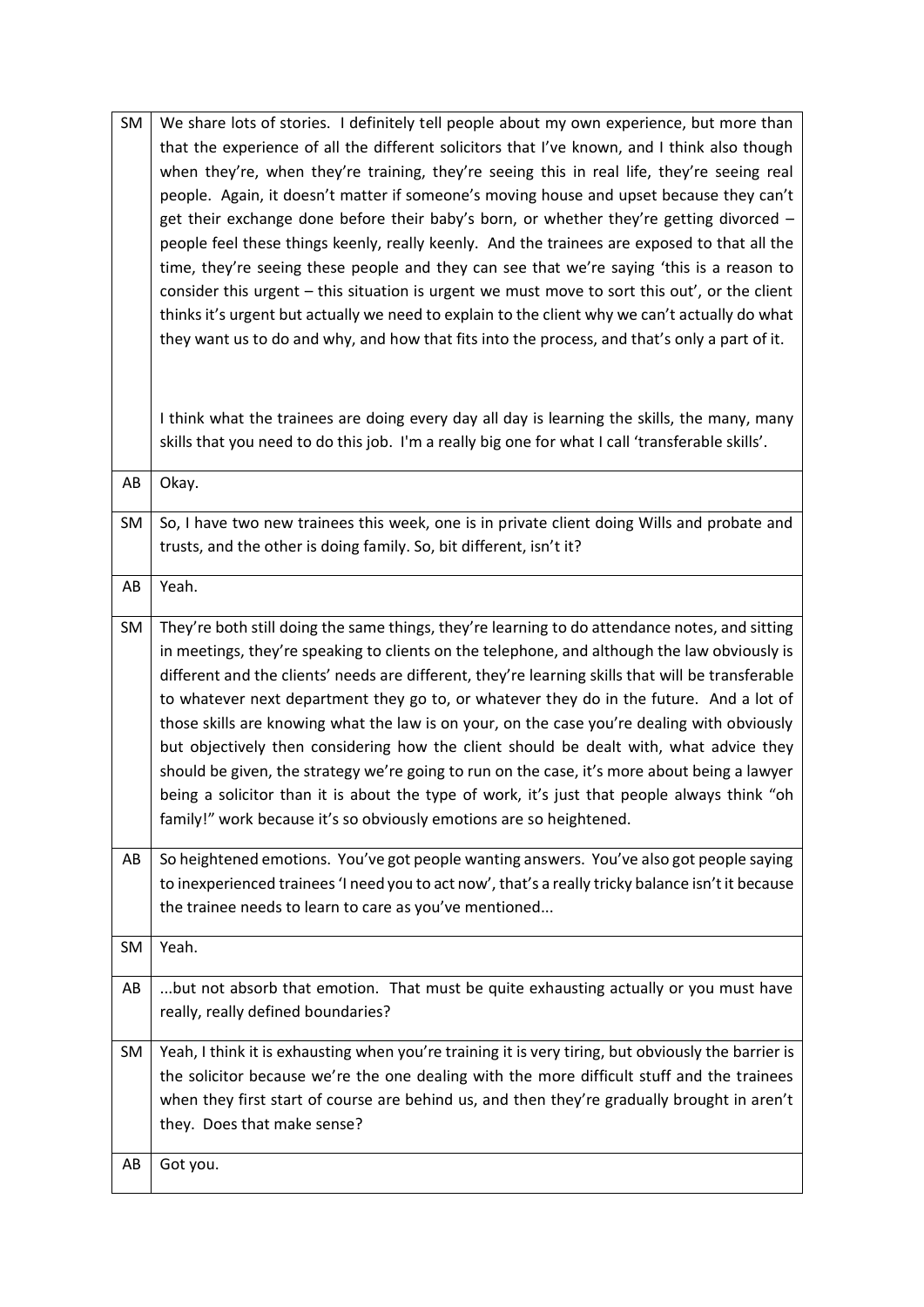| <b>SM</b> | We share lots of stories. I definitely tell people about my own experience, but more than           |
|-----------|-----------------------------------------------------------------------------------------------------|
|           | that the experience of all the different solicitors that I've known, and I think also though        |
|           | when they're, when they're training, they're seeing this in real life, they're seeing real          |
|           | people. Again, it doesn't matter if someone's moving house and upset because they can't             |
|           | get their exchange done before their baby's born, or whether they're getting divorced -             |
|           |                                                                                                     |
|           | people feel these things keenly, really keenly. And the trainees are exposed to that all the        |
|           | time, they're seeing these people and they can see that we're saying 'this is a reason to           |
|           | consider this urgent - this situation is urgent we must move to sort this out', or the client       |
|           | thinks it's urgent but actually we need to explain to the client why we can't actually do what      |
|           | they want us to do and why, and how that fits into the process, and that's only a part of it.       |
|           |                                                                                                     |
|           |                                                                                                     |
|           | I think what the trainees are doing every day all day is learning the skills, the many, many        |
|           | skills that you need to do this job. I'm a really big one for what I call 'transferable skills'.    |
|           |                                                                                                     |
| AB        | Okay.                                                                                               |
|           |                                                                                                     |
| SM        | So, I have two new trainees this week, one is in private client doing Wills and probate and         |
|           | trusts, and the other is doing family. So, bit different, isn't it?                                 |
| AB        | Yeah.                                                                                               |
|           |                                                                                                     |
| SM        | They're both still doing the same things, they're learning to do attendance notes, and sitting      |
|           | in meetings, they're speaking to clients on the telephone, and although the law obviously is        |
|           | different and the clients' needs are different, they're learning skills that will be transferable   |
|           | to whatever next department they go to, or whatever they do in the future. And a lot of             |
|           | those skills are knowing what the law is on your, on the case you're dealing with obviously         |
|           | but objectively then considering how the client should be dealt with, what advice they              |
|           | should be given, the strategy we're going to run on the case, it's more about being a lawyer        |
|           |                                                                                                     |
|           | being a solicitor than it is about the type of work, it's just that people always think "oh         |
|           | family!" work because it's so obviously emotions are so heightened.                                 |
| AB        | So heightened emotions. You've got people wanting answers. You've also got people saying            |
|           | to inexperienced trainees 'I need you to act now', that's a really tricky balance isn't it because  |
|           | the trainee needs to learn to care as you've mentioned                                              |
|           |                                                                                                     |
| SM        | Yeah.                                                                                               |
| AB        | but not absorb that emotion. That must be quite exhausting actually or you must have                |
|           | really, really defined boundaries?                                                                  |
|           |                                                                                                     |
| SM        | Yeah, I think it is exhausting when you're training it is very tiring, but obviously the barrier is |
|           | the solicitor because we're the one dealing with the more difficult stuff and the trainees          |
|           | when they first start of course are behind us, and then they're gradually brought in aren't         |
|           | they. Does that make sense?                                                                         |
|           |                                                                                                     |
| AB        | Got you.                                                                                            |
|           |                                                                                                     |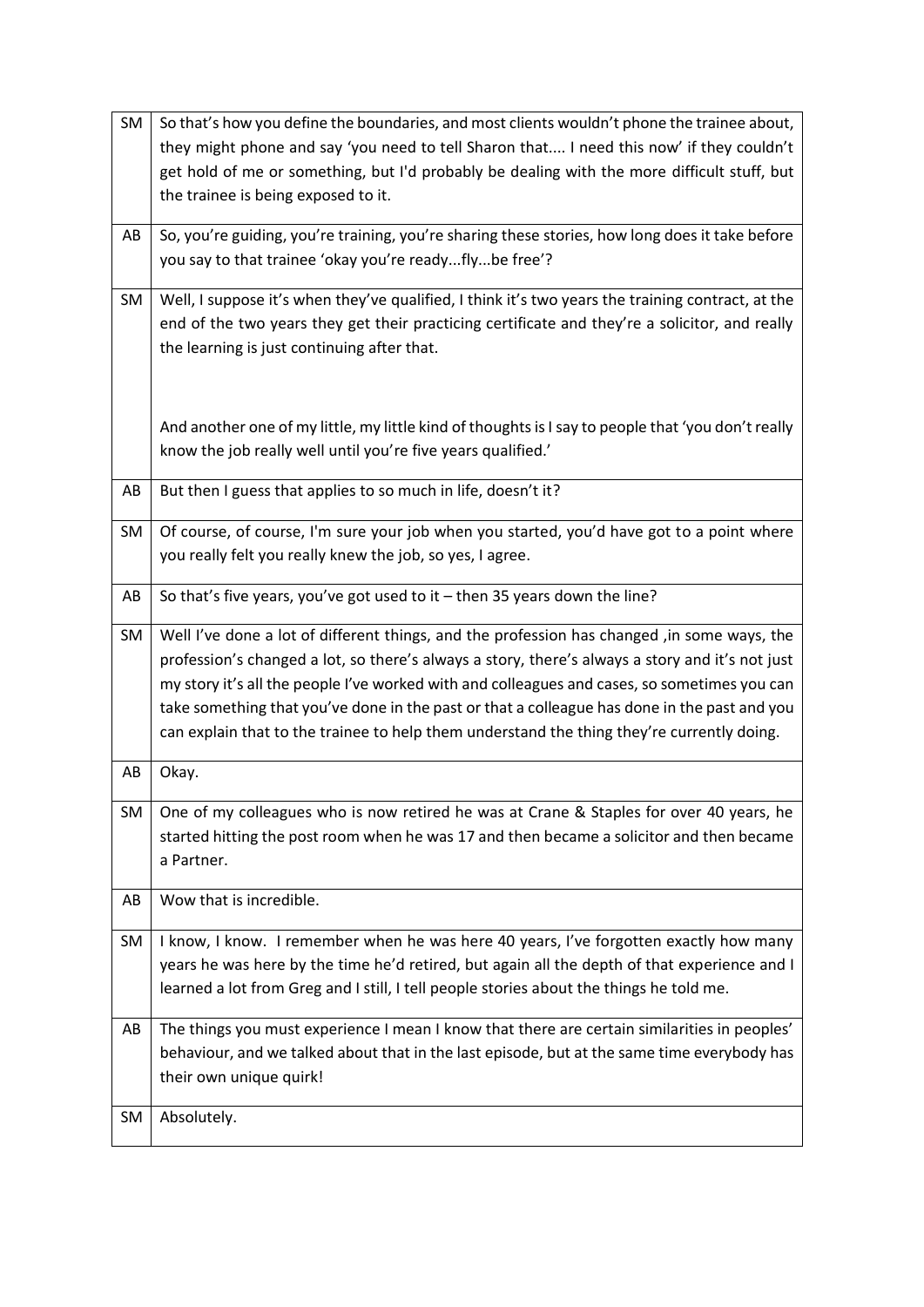| SM | So that's how you define the boundaries, and most clients wouldn't phone the trainee about,        |
|----|----------------------------------------------------------------------------------------------------|
|    | they might phone and say 'you need to tell Sharon that I need this now' if they couldn't           |
|    | get hold of me or something, but I'd probably be dealing with the more difficult stuff, but        |
|    | the trainee is being exposed to it.                                                                |
|    |                                                                                                    |
| AB | So, you're guiding, you're training, you're sharing these stories, how long does it take before    |
|    | you say to that trainee 'okay you're readyflybe free'?                                             |
| SM | Well, I suppose it's when they've qualified, I think it's two years the training contract, at the  |
|    | end of the two years they get their practicing certificate and they're a solicitor, and really     |
|    | the learning is just continuing after that.                                                        |
|    |                                                                                                    |
|    |                                                                                                    |
|    | And another one of my little, my little kind of thoughts is I say to people that 'you don't really |
|    | know the job really well until you're five years qualified.'                                       |
|    |                                                                                                    |
| AB | But then I guess that applies to so much in life, doesn't it?                                      |
| SM | Of course, of course, I'm sure your job when you started, you'd have got to a point where          |
|    | you really felt you really knew the job, so yes, I agree.                                          |
|    |                                                                                                    |
| AB | So that's five years, you've got used to it $-$ then 35 years down the line?                       |
| SM | Well I've done a lot of different things, and the profession has changed ,in some ways, the        |
|    | profession's changed a lot, so there's always a story, there's always a story and it's not just    |
|    | my story it's all the people I've worked with and colleagues and cases, so sometimes you can       |
|    | take something that you've done in the past or that a colleague has done in the past and you       |
|    | can explain that to the trainee to help them understand the thing they're currently doing.         |
| AB | Okay.                                                                                              |
|    |                                                                                                    |
| SM | One of my colleagues who is now retired he was at Crane & Staples for over 40 years, he            |
|    | started hitting the post room when he was 17 and then became a solicitor and then became           |
|    | a Partner.                                                                                         |
| AB | Wow that is incredible.                                                                            |
|    |                                                                                                    |
| SM | I know, I know. I remember when he was here 40 years, I've forgotten exactly how many              |
|    | years he was here by the time he'd retired, but again all the depth of that experience and I       |
|    | learned a lot from Greg and I still, I tell people stories about the things he told me.            |
| AB | The things you must experience I mean I know that there are certain similarities in peoples'       |
|    | behaviour, and we talked about that in the last episode, but at the same time everybody has        |
|    | their own unique quirk!                                                                            |
|    |                                                                                                    |
|    |                                                                                                    |
| SM | Absolutely.                                                                                        |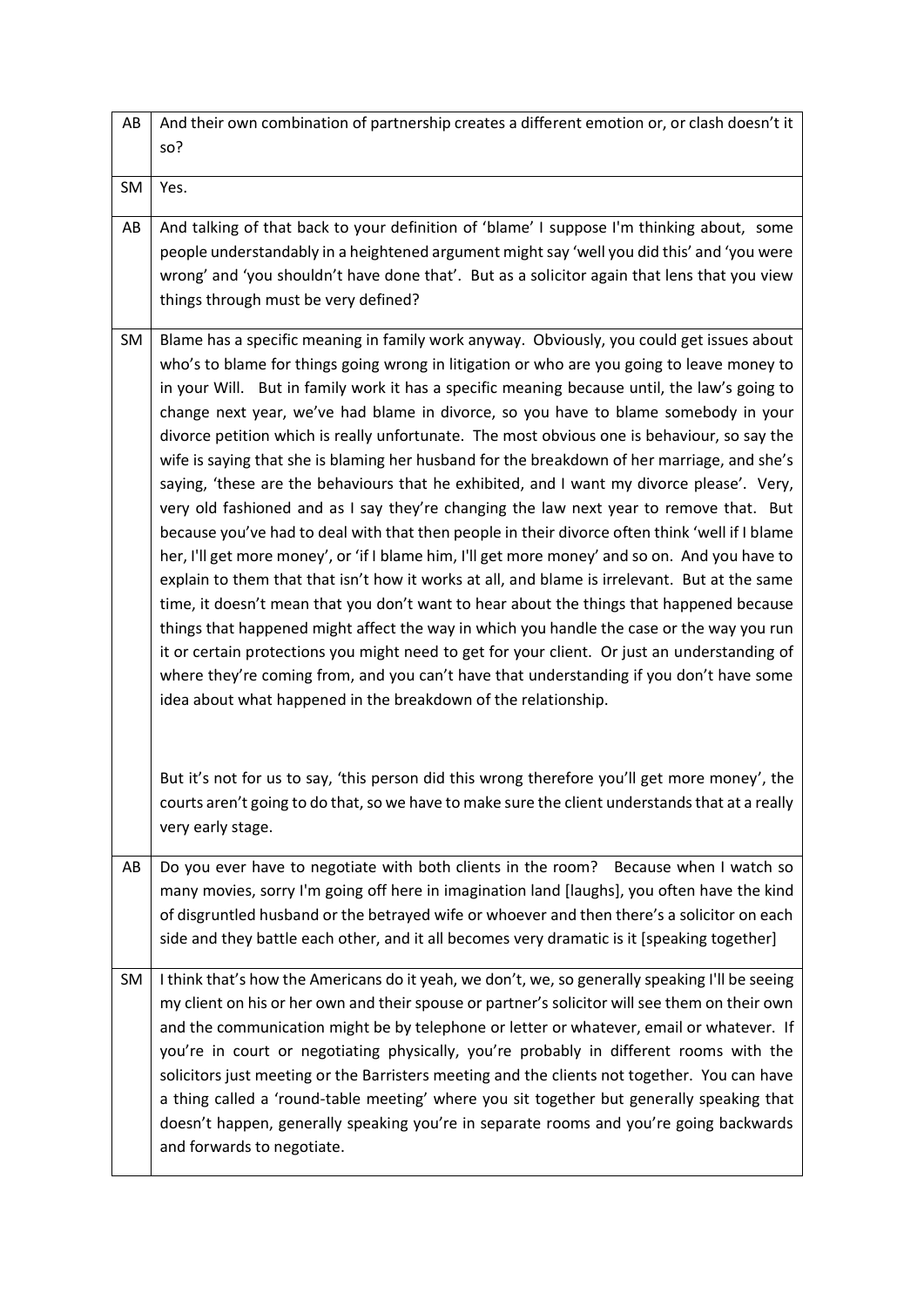| AB        | And their own combination of partnership creates a different emotion or, or clash doesn't it<br>so?                                                                                                                                                                                                                                                                                                                                                                                                                                                                                                                                                                                                                                                                                                                                                                                                                                                                                                                                                                                                                                                                                                                                                                                                                                                                                                                                                                                                                                                                                                                             |
|-----------|---------------------------------------------------------------------------------------------------------------------------------------------------------------------------------------------------------------------------------------------------------------------------------------------------------------------------------------------------------------------------------------------------------------------------------------------------------------------------------------------------------------------------------------------------------------------------------------------------------------------------------------------------------------------------------------------------------------------------------------------------------------------------------------------------------------------------------------------------------------------------------------------------------------------------------------------------------------------------------------------------------------------------------------------------------------------------------------------------------------------------------------------------------------------------------------------------------------------------------------------------------------------------------------------------------------------------------------------------------------------------------------------------------------------------------------------------------------------------------------------------------------------------------------------------------------------------------------------------------------------------------|
| <b>SM</b> | Yes.                                                                                                                                                                                                                                                                                                                                                                                                                                                                                                                                                                                                                                                                                                                                                                                                                                                                                                                                                                                                                                                                                                                                                                                                                                                                                                                                                                                                                                                                                                                                                                                                                            |
| AB        | And talking of that back to your definition of 'blame' I suppose I'm thinking about, some<br>people understandably in a heightened argument might say 'well you did this' and 'you were<br>wrong' and 'you shouldn't have done that'. But as a solicitor again that lens that you view<br>things through must be very defined?                                                                                                                                                                                                                                                                                                                                                                                                                                                                                                                                                                                                                                                                                                                                                                                                                                                                                                                                                                                                                                                                                                                                                                                                                                                                                                  |
| SM        | Blame has a specific meaning in family work anyway. Obviously, you could get issues about<br>who's to blame for things going wrong in litigation or who are you going to leave money to<br>in your Will. But in family work it has a specific meaning because until, the law's going to<br>change next year, we've had blame in divorce, so you have to blame somebody in your<br>divorce petition which is really unfortunate. The most obvious one is behaviour, so say the<br>wife is saying that she is blaming her husband for the breakdown of her marriage, and she's<br>saying, 'these are the behaviours that he exhibited, and I want my divorce please'. Very,<br>very old fashioned and as I say they're changing the law next year to remove that. But<br>because you've had to deal with that then people in their divorce often think 'well if I blame<br>her, I'll get more money', or 'if I blame him, I'll get more money' and so on. And you have to<br>explain to them that that isn't how it works at all, and blame is irrelevant. But at the same<br>time, it doesn't mean that you don't want to hear about the things that happened because<br>things that happened might affect the way in which you handle the case or the way you run<br>it or certain protections you might need to get for your client. Or just an understanding of<br>where they're coming from, and you can't have that understanding if you don't have some<br>idea about what happened in the breakdown of the relationship.<br>But it's not for us to say, 'this person did this wrong therefore you'll get more money', the |
|           | courts aren't going to do that, so we have to make sure the client understands that at a really<br>very early stage.                                                                                                                                                                                                                                                                                                                                                                                                                                                                                                                                                                                                                                                                                                                                                                                                                                                                                                                                                                                                                                                                                                                                                                                                                                                                                                                                                                                                                                                                                                            |
| AB        | Do you ever have to negotiate with both clients in the room? Because when I watch so<br>many movies, sorry I'm going off here in imagination land [laughs], you often have the kind<br>of disgruntled husband or the betrayed wife or whoever and then there's a solicitor on each<br>side and they battle each other, and it all becomes very dramatic is it [speaking together]                                                                                                                                                                                                                                                                                                                                                                                                                                                                                                                                                                                                                                                                                                                                                                                                                                                                                                                                                                                                                                                                                                                                                                                                                                               |
| <b>SM</b> | I think that's how the Americans do it yeah, we don't, we, so generally speaking I'll be seeing<br>my client on his or her own and their spouse or partner's solicitor will see them on their own<br>and the communication might be by telephone or letter or whatever, email or whatever. If<br>you're in court or negotiating physically, you're probably in different rooms with the<br>solicitors just meeting or the Barristers meeting and the clients not together. You can have<br>a thing called a 'round-table meeting' where you sit together but generally speaking that<br>doesn't happen, generally speaking you're in separate rooms and you're going backwards<br>and forwards to negotiate.                                                                                                                                                                                                                                                                                                                                                                                                                                                                                                                                                                                                                                                                                                                                                                                                                                                                                                                    |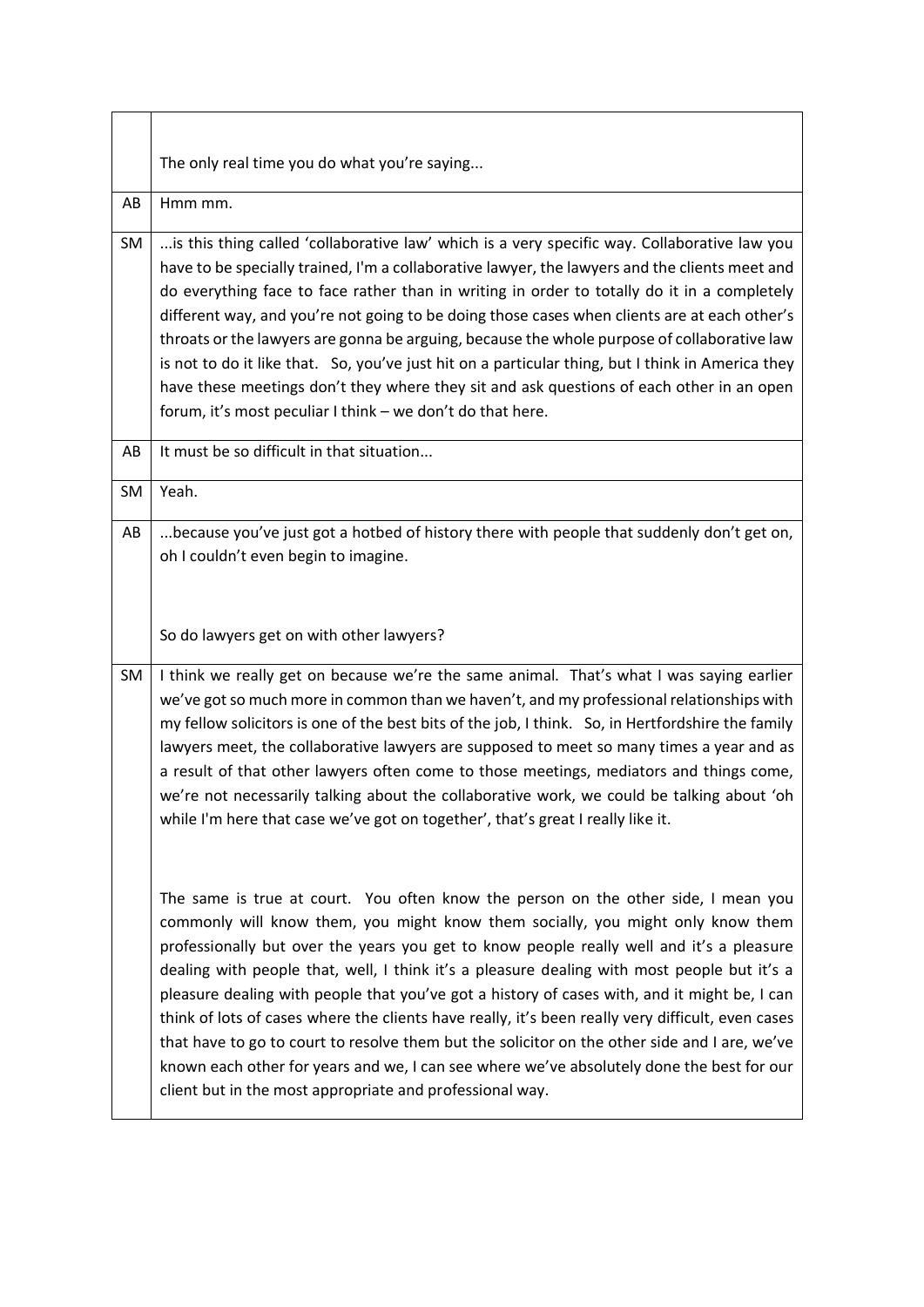|    | The only real time you do what you're saying                                                                                                                                                                                                                                                                                                                                                                                                                                                                                                                                                                                                                                                                                                                                                                                    |
|----|---------------------------------------------------------------------------------------------------------------------------------------------------------------------------------------------------------------------------------------------------------------------------------------------------------------------------------------------------------------------------------------------------------------------------------------------------------------------------------------------------------------------------------------------------------------------------------------------------------------------------------------------------------------------------------------------------------------------------------------------------------------------------------------------------------------------------------|
| AB | Hmm mm.                                                                                                                                                                                                                                                                                                                                                                                                                                                                                                                                                                                                                                                                                                                                                                                                                         |
| SM | is this thing called 'collaborative law' which is a very specific way. Collaborative law you<br>have to be specially trained, I'm a collaborative lawyer, the lawyers and the clients meet and<br>do everything face to face rather than in writing in order to totally do it in a completely<br>different way, and you're not going to be doing those cases when clients are at each other's<br>throats or the lawyers are gonna be arguing, because the whole purpose of collaborative law<br>is not to do it like that. So, you've just hit on a particular thing, but I think in America they<br>have these meetings don't they where they sit and ask questions of each other in an open<br>forum, it's most peculiar I think - we don't do that here.                                                                     |
| AB | It must be so difficult in that situation                                                                                                                                                                                                                                                                                                                                                                                                                                                                                                                                                                                                                                                                                                                                                                                       |
| SM | Yeah.                                                                                                                                                                                                                                                                                                                                                                                                                                                                                                                                                                                                                                                                                                                                                                                                                           |
| AB | because you've just got a hotbed of history there with people that suddenly don't get on,<br>oh I couldn't even begin to imagine.                                                                                                                                                                                                                                                                                                                                                                                                                                                                                                                                                                                                                                                                                               |
|    | So do lawyers get on with other lawyers?                                                                                                                                                                                                                                                                                                                                                                                                                                                                                                                                                                                                                                                                                                                                                                                        |
| SM | I think we really get on because we're the same animal. That's what I was saying earlier<br>we've got so much more in common than we haven't, and my professional relationships with<br>my fellow solicitors is one of the best bits of the job, I think. So, in Hertfordshire the family<br>lawyers meet, the collaborative lawyers are supposed to meet so many times a year and as<br>a result of that other lawyers often come to those meetings, mediators and things come,<br>we're not necessarily talking about the collaborative work, we could be talking about 'oh<br>while I'm here that case we've got on together', that's great I really like it.                                                                                                                                                                |
|    | The same is true at court. You often know the person on the other side, I mean you<br>commonly will know them, you might know them socially, you might only know them<br>professionally but over the years you get to know people really well and it's a pleasure<br>dealing with people that, well, I think it's a pleasure dealing with most people but it's a<br>pleasure dealing with people that you've got a history of cases with, and it might be, I can<br>think of lots of cases where the clients have really, it's been really very difficult, even cases<br>that have to go to court to resolve them but the solicitor on the other side and I are, we've<br>known each other for years and we, I can see where we've absolutely done the best for our<br>client but in the most appropriate and professional way. |

<u> 1989 - Johann Stoff, deutscher Stoffen und der Stoffen und der Stoffen und der Stoffen und der Stoffen und der</u>

 $\overline{\phantom{0}}$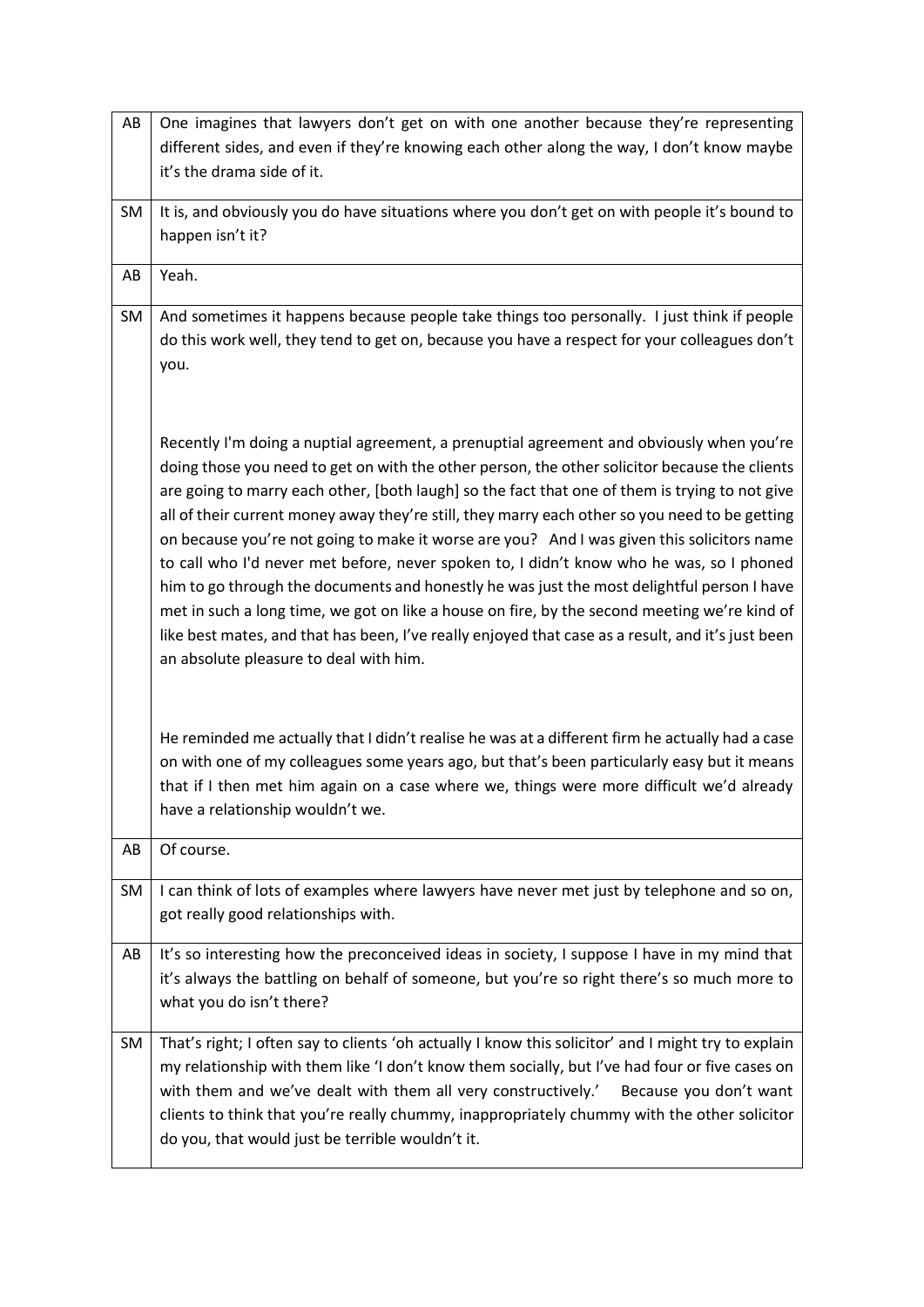| AB        | One imagines that lawyers don't get on with one another because they're representing                |
|-----------|-----------------------------------------------------------------------------------------------------|
|           | different sides, and even if they're knowing each other along the way, I don't know maybe           |
|           | it's the drama side of it.                                                                          |
|           |                                                                                                     |
| <b>SM</b> | It is, and obviously you do have situations where you don't get on with people it's bound to        |
|           | happen isn't it?                                                                                    |
| AB        | Yeah.                                                                                               |
|           |                                                                                                     |
| <b>SM</b> | And sometimes it happens because people take things too personally. I just think if people          |
|           | do this work well, they tend to get on, because you have a respect for your colleagues don't        |
|           | you.                                                                                                |
|           |                                                                                                     |
|           |                                                                                                     |
|           | Recently I'm doing a nuptial agreement, a prenuptial agreement and obviously when you're            |
|           | doing those you need to get on with the other person, the other solicitor because the clients       |
|           | are going to marry each other, [both laugh] so the fact that one of them is trying to not give      |
|           | all of their current money away they're still, they marry each other so you need to be getting      |
|           | on because you're not going to make it worse are you? And I was given this solicitors name          |
|           | to call who I'd never met before, never spoken to, I didn't know who he was, so I phoned            |
|           | him to go through the documents and honestly he was just the most delightful person I have          |
|           | met in such a long time, we got on like a house on fire, by the second meeting we're kind of        |
|           | like best mates, and that has been, I've really enjoyed that case as a result, and it's just been   |
|           | an absolute pleasure to deal with him.                                                              |
|           |                                                                                                     |
|           |                                                                                                     |
|           |                                                                                                     |
|           | He reminded me actually that I didn't realise he was at a different firm he actually had a case     |
|           | on with one of my colleagues some years ago, but that's been particularly easy but it means         |
|           | that if I then met him again on a case where we, things were more difficult we'd already            |
|           | have a relationship wouldn't we.                                                                    |
| AB        | Of course.                                                                                          |
|           |                                                                                                     |
| SM        | I can think of lots of examples where lawyers have never met just by telephone and so on,           |
|           | got really good relationships with.                                                                 |
| AB        | It's so interesting how the preconceived ideas in society, I suppose I have in my mind that         |
|           | it's always the battling on behalf of someone, but you're so right there's so much more to          |
|           | what you do isn't there?                                                                            |
|           |                                                                                                     |
| SM        | That's right; I often say to clients 'oh actually I know this solicitor' and I might try to explain |
|           | my relationship with them like 'I don't know them socially, but I've had four or five cases on      |
|           | with them and we've dealt with them all very constructively.'<br>Because you don't want             |
|           | clients to think that you're really chummy, inappropriately chummy with the other solicitor         |
|           | do you, that would just be terrible wouldn't it.                                                    |
|           |                                                                                                     |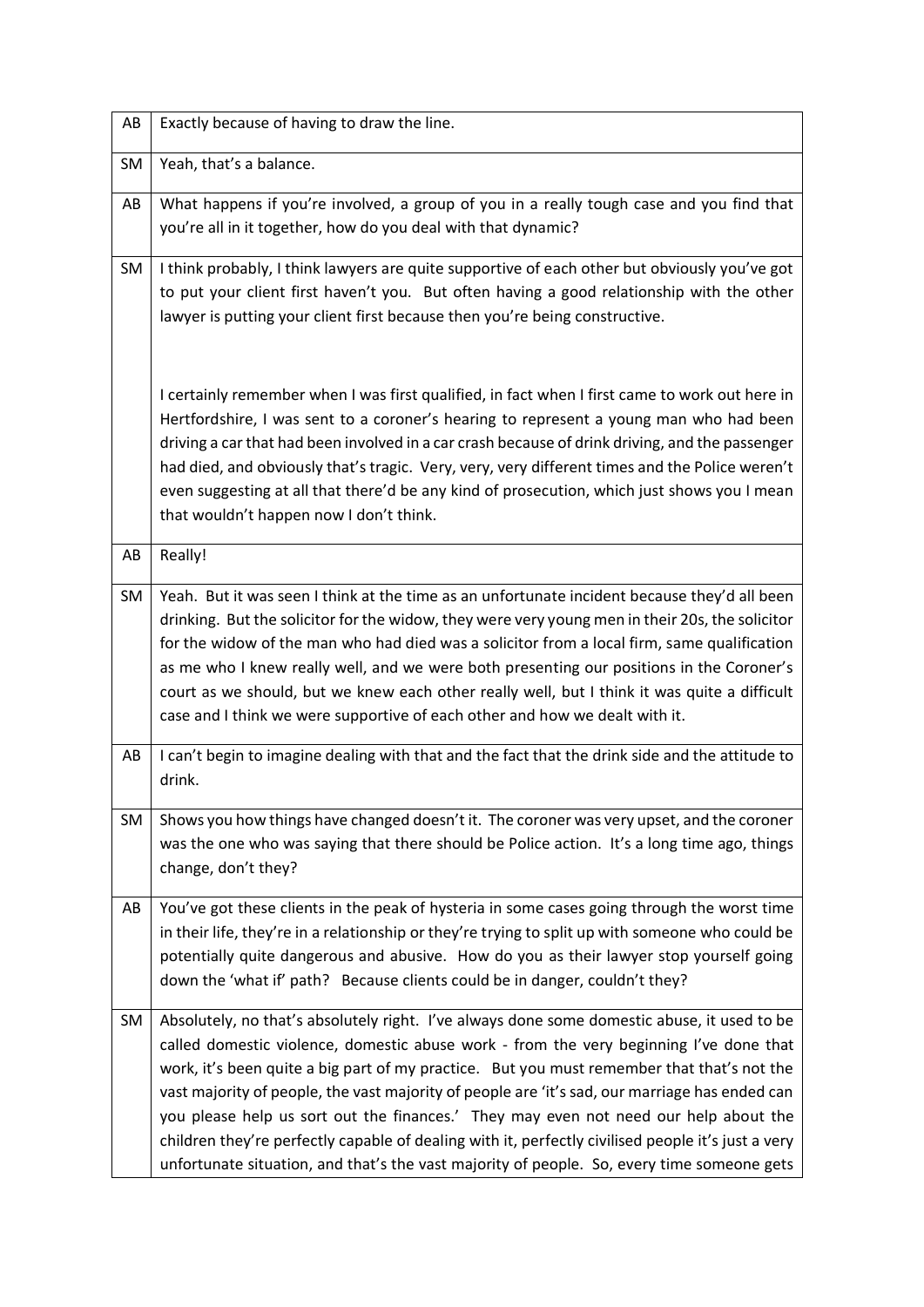| AB | Exactly because of having to draw the line.                                                                                                                                                                                                                                                                                                                                                                                                                                                                                                                                                                                                                                       |
|----|-----------------------------------------------------------------------------------------------------------------------------------------------------------------------------------------------------------------------------------------------------------------------------------------------------------------------------------------------------------------------------------------------------------------------------------------------------------------------------------------------------------------------------------------------------------------------------------------------------------------------------------------------------------------------------------|
| SM | Yeah, that's a balance.                                                                                                                                                                                                                                                                                                                                                                                                                                                                                                                                                                                                                                                           |
| AB | What happens if you're involved, a group of you in a really tough case and you find that<br>you're all in it together, how do you deal with that dynamic?                                                                                                                                                                                                                                                                                                                                                                                                                                                                                                                         |
| SM | I think probably, I think lawyers are quite supportive of each other but obviously you've got<br>to put your client first haven't you. But often having a good relationship with the other<br>lawyer is putting your client first because then you're being constructive.                                                                                                                                                                                                                                                                                                                                                                                                         |
|    | I certainly remember when I was first qualified, in fact when I first came to work out here in<br>Hertfordshire, I was sent to a coroner's hearing to represent a young man who had been<br>driving a car that had been involved in a car crash because of drink driving, and the passenger<br>had died, and obviously that's tragic. Very, very, very different times and the Police weren't<br>even suggesting at all that there'd be any kind of prosecution, which just shows you I mean<br>that wouldn't happen now I don't think.                                                                                                                                           |
| AB | Really!                                                                                                                                                                                                                                                                                                                                                                                                                                                                                                                                                                                                                                                                           |
| SM | Yeah. But it was seen I think at the time as an unfortunate incident because they'd all been<br>drinking. But the solicitor for the widow, they were very young men in their 20s, the solicitor<br>for the widow of the man who had died was a solicitor from a local firm, same qualification<br>as me who I knew really well, and we were both presenting our positions in the Coroner's<br>court as we should, but we knew each other really well, but I think it was quite a difficult<br>case and I think we were supportive of each other and how we dealt with it.                                                                                                         |
| AB | I can't begin to imagine dealing with that and the fact that the drink side and the attitude to<br>drink.                                                                                                                                                                                                                                                                                                                                                                                                                                                                                                                                                                         |
| SM | Shows you how things have changed doesn't it. The coroner was very upset, and the coroner<br>was the one who was saying that there should be Police action. It's a long time ago, things<br>change, don't they?                                                                                                                                                                                                                                                                                                                                                                                                                                                                   |
| AB | You've got these clients in the peak of hysteria in some cases going through the worst time<br>in their life, they're in a relationship or they're trying to split up with someone who could be<br>potentially quite dangerous and abusive. How do you as their lawyer stop yourself going<br>down the 'what if' path? Because clients could be in danger, couldn't they?                                                                                                                                                                                                                                                                                                         |
| SM | Absolutely, no that's absolutely right. I've always done some domestic abuse, it used to be<br>called domestic violence, domestic abuse work - from the very beginning I've done that<br>work, it's been quite a big part of my practice. But you must remember that that's not the<br>vast majority of people, the vast majority of people are 'it's sad, our marriage has ended can<br>you please help us sort out the finances.' They may even not need our help about the<br>children they're perfectly capable of dealing with it, perfectly civilised people it's just a very<br>unfortunate situation, and that's the vast majority of people. So, every time someone gets |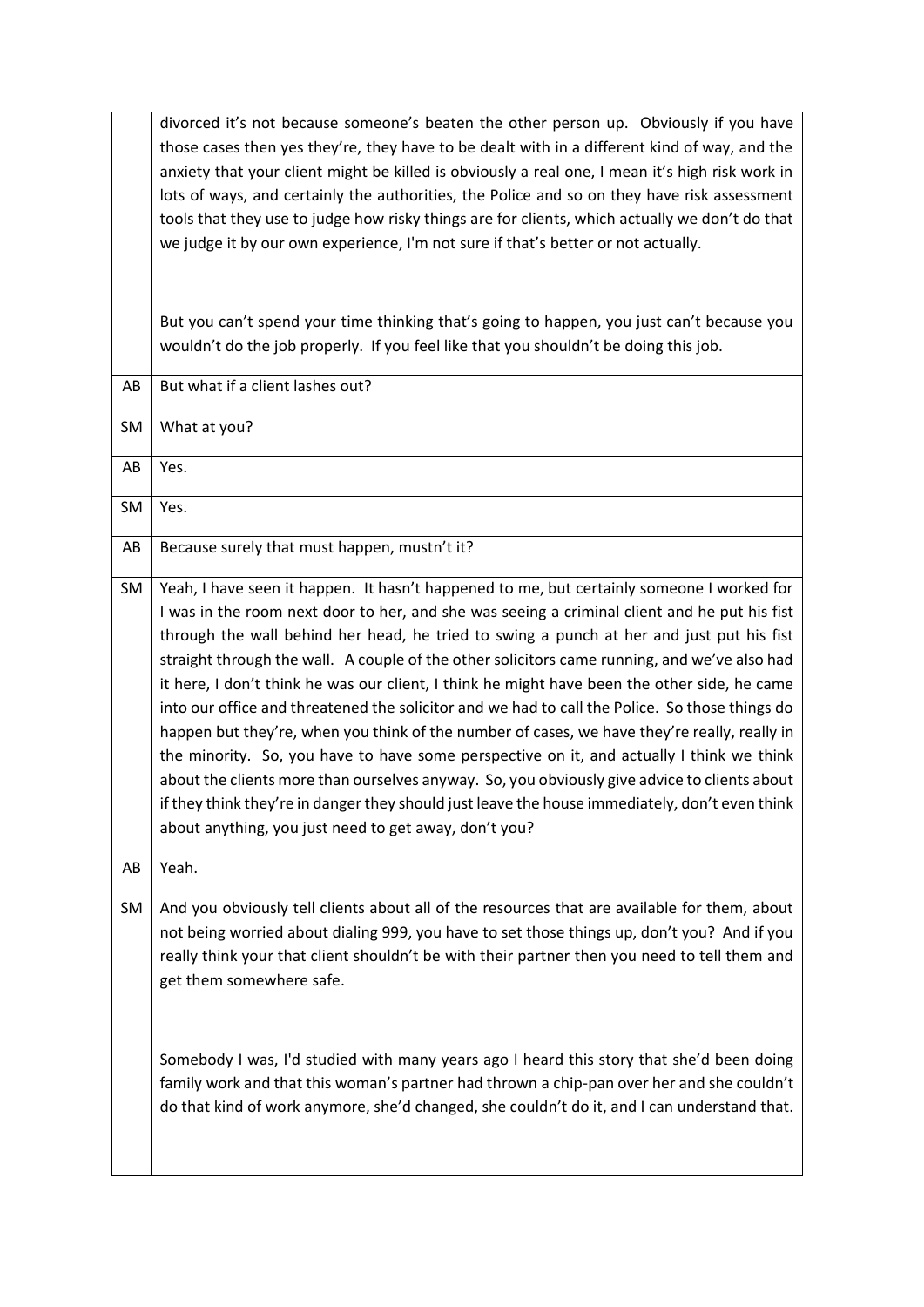|           | divorced it's not because someone's beaten the other person up. Obviously if you have<br>those cases then yes they're, they have to be dealt with in a different kind of way, and the<br>anxiety that your client might be killed is obviously a real one, I mean it's high risk work in<br>lots of ways, and certainly the authorities, the Police and so on they have risk assessment<br>tools that they use to judge how risky things are for clients, which actually we don't do that<br>we judge it by our own experience, I'm not sure if that's better or not actually.                                                                                                                                                                                                                                                                                                                                                                                                                                                                 |
|-----------|------------------------------------------------------------------------------------------------------------------------------------------------------------------------------------------------------------------------------------------------------------------------------------------------------------------------------------------------------------------------------------------------------------------------------------------------------------------------------------------------------------------------------------------------------------------------------------------------------------------------------------------------------------------------------------------------------------------------------------------------------------------------------------------------------------------------------------------------------------------------------------------------------------------------------------------------------------------------------------------------------------------------------------------------|
|           | But you can't spend your time thinking that's going to happen, you just can't because you<br>wouldn't do the job properly. If you feel like that you shouldn't be doing this job.                                                                                                                                                                                                                                                                                                                                                                                                                                                                                                                                                                                                                                                                                                                                                                                                                                                              |
| AB        | But what if a client lashes out?                                                                                                                                                                                                                                                                                                                                                                                                                                                                                                                                                                                                                                                                                                                                                                                                                                                                                                                                                                                                               |
| <b>SM</b> | What at you?                                                                                                                                                                                                                                                                                                                                                                                                                                                                                                                                                                                                                                                                                                                                                                                                                                                                                                                                                                                                                                   |
| AB        | Yes.                                                                                                                                                                                                                                                                                                                                                                                                                                                                                                                                                                                                                                                                                                                                                                                                                                                                                                                                                                                                                                           |
| <b>SM</b> | Yes.                                                                                                                                                                                                                                                                                                                                                                                                                                                                                                                                                                                                                                                                                                                                                                                                                                                                                                                                                                                                                                           |
| AB        | Because surely that must happen, mustn't it?                                                                                                                                                                                                                                                                                                                                                                                                                                                                                                                                                                                                                                                                                                                                                                                                                                                                                                                                                                                                   |
| SM        | Yeah, I have seen it happen. It hasn't happened to me, but certainly someone I worked for<br>I was in the room next door to her, and she was seeing a criminal client and he put his fist<br>through the wall behind her head, he tried to swing a punch at her and just put his fist<br>straight through the wall. A couple of the other solicitors came running, and we've also had<br>it here, I don't think he was our client, I think he might have been the other side, he came<br>into our office and threatened the solicitor and we had to call the Police. So those things do<br>happen but they're, when you think of the number of cases, we have they're really, really in<br>the minority. So, you have to have some perspective on it, and actually I think we think<br>about the clients more than ourselves anyway. So, you obviously give advice to clients about<br>if they think they're in danger they should just leave the house immediately, don't even think<br>about anything, you just need to get away, don't you? |
| AB        | Yeah.                                                                                                                                                                                                                                                                                                                                                                                                                                                                                                                                                                                                                                                                                                                                                                                                                                                                                                                                                                                                                                          |
| SM        | And you obviously tell clients about all of the resources that are available for them, about<br>not being worried about dialing 999, you have to set those things up, don't you? And if you<br>really think your that client shouldn't be with their partner then you need to tell them and<br>get them somewhere safe.                                                                                                                                                                                                                                                                                                                                                                                                                                                                                                                                                                                                                                                                                                                        |
|           | Somebody I was, I'd studied with many years ago I heard this story that she'd been doing<br>family work and that this woman's partner had thrown a chip-pan over her and she couldn't<br>do that kind of work anymore, she'd changed, she couldn't do it, and I can understand that.                                                                                                                                                                                                                                                                                                                                                                                                                                                                                                                                                                                                                                                                                                                                                           |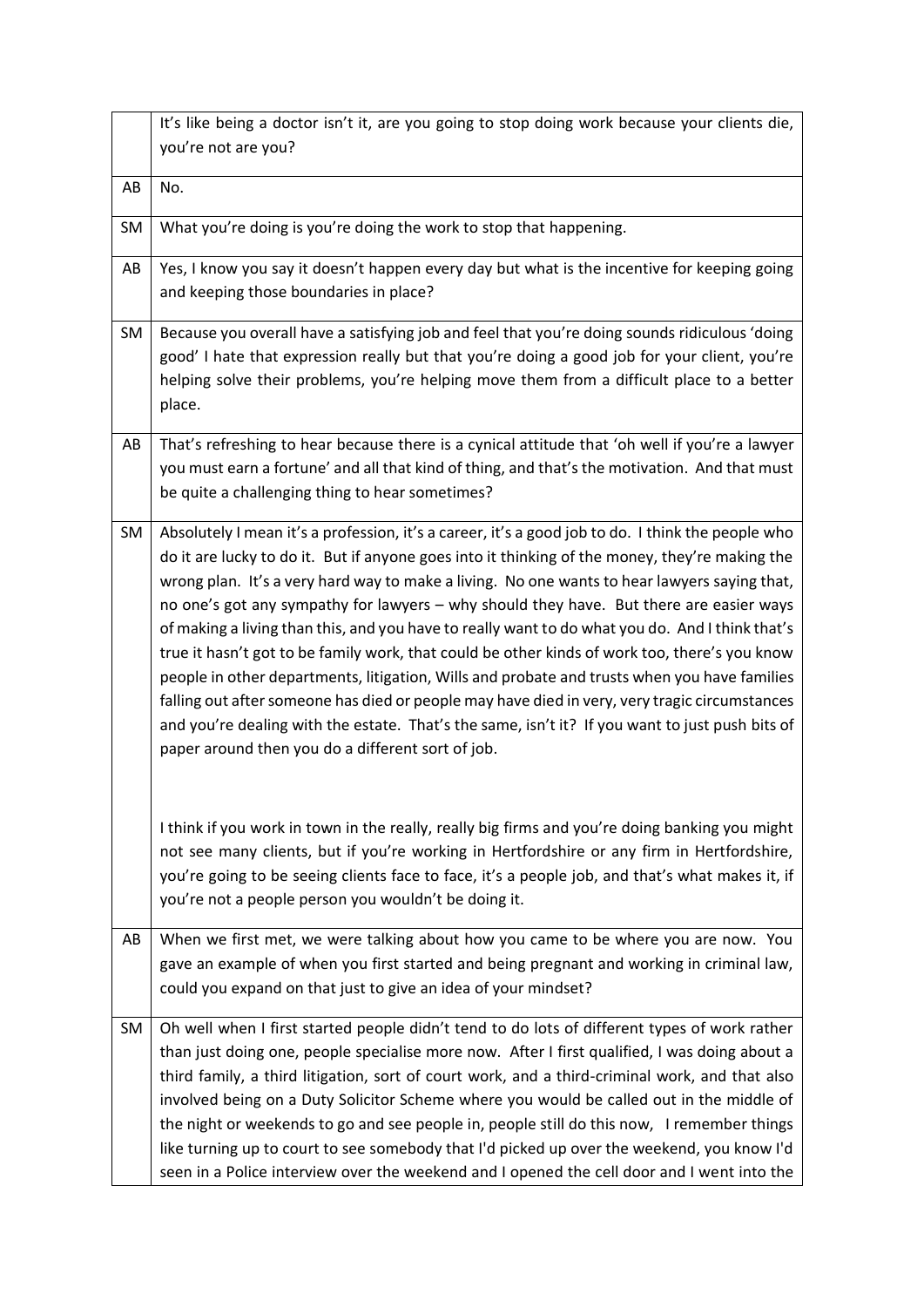|    | It's like being a doctor isn't it, are you going to stop doing work because your clients die,                                                                                                                                                                                                                                                                                                                                                                                                                                                                                                                                                                                                                                                                                                                                                                                                                                                               |
|----|-------------------------------------------------------------------------------------------------------------------------------------------------------------------------------------------------------------------------------------------------------------------------------------------------------------------------------------------------------------------------------------------------------------------------------------------------------------------------------------------------------------------------------------------------------------------------------------------------------------------------------------------------------------------------------------------------------------------------------------------------------------------------------------------------------------------------------------------------------------------------------------------------------------------------------------------------------------|
|    | you're not are you?                                                                                                                                                                                                                                                                                                                                                                                                                                                                                                                                                                                                                                                                                                                                                                                                                                                                                                                                         |
| AB | No.                                                                                                                                                                                                                                                                                                                                                                                                                                                                                                                                                                                                                                                                                                                                                                                                                                                                                                                                                         |
| SM | What you're doing is you're doing the work to stop that happening.                                                                                                                                                                                                                                                                                                                                                                                                                                                                                                                                                                                                                                                                                                                                                                                                                                                                                          |
| AB | Yes, I know you say it doesn't happen every day but what is the incentive for keeping going<br>and keeping those boundaries in place?                                                                                                                                                                                                                                                                                                                                                                                                                                                                                                                                                                                                                                                                                                                                                                                                                       |
| SM | Because you overall have a satisfying job and feel that you're doing sounds ridiculous 'doing<br>good' I hate that expression really but that you're doing a good job for your client, you're<br>helping solve their problems, you're helping move them from a difficult place to a better<br>place.                                                                                                                                                                                                                                                                                                                                                                                                                                                                                                                                                                                                                                                        |
| AB | That's refreshing to hear because there is a cynical attitude that 'oh well if you're a lawyer<br>you must earn a fortune' and all that kind of thing, and that's the motivation. And that must<br>be quite a challenging thing to hear sometimes?                                                                                                                                                                                                                                                                                                                                                                                                                                                                                                                                                                                                                                                                                                          |
| SM | Absolutely I mean it's a profession, it's a career, it's a good job to do. I think the people who<br>do it are lucky to do it. But if anyone goes into it thinking of the money, they're making the<br>wrong plan. It's a very hard way to make a living. No one wants to hear lawyers saying that,<br>no one's got any sympathy for lawyers - why should they have. But there are easier ways<br>of making a living than this, and you have to really want to do what you do. And I think that's<br>true it hasn't got to be family work, that could be other kinds of work too, there's you know<br>people in other departments, litigation, Wills and probate and trusts when you have families<br>falling out after someone has died or people may have died in very, very tragic circumstances<br>and you're dealing with the estate. That's the same, isn't it? If you want to just push bits of<br>paper around then you do a different sort of job. |
|    | I think if you work in town in the really, really big firms and you're doing banking you might<br>not see many clients, but if you're working in Hertfordshire or any firm in Hertfordshire,<br>you're going to be seeing clients face to face, it's a people job, and that's what makes it, if<br>you're not a people person you wouldn't be doing it.                                                                                                                                                                                                                                                                                                                                                                                                                                                                                                                                                                                                     |
| AB | When we first met, we were talking about how you came to be where you are now. You<br>gave an example of when you first started and being pregnant and working in criminal law,<br>could you expand on that just to give an idea of your mindset?                                                                                                                                                                                                                                                                                                                                                                                                                                                                                                                                                                                                                                                                                                           |
| SM | Oh well when I first started people didn't tend to do lots of different types of work rather<br>than just doing one, people specialise more now. After I first qualified, I was doing about a<br>third family, a third litigation, sort of court work, and a third-criminal work, and that also<br>involved being on a Duty Solicitor Scheme where you would be called out in the middle of<br>the night or weekends to go and see people in, people still do this now, I remember things<br>like turning up to court to see somebody that I'd picked up over the weekend, you know I'd<br>seen in a Police interview over the weekend and I opened the cell door and I went into the                                                                                                                                                                                                                                                                       |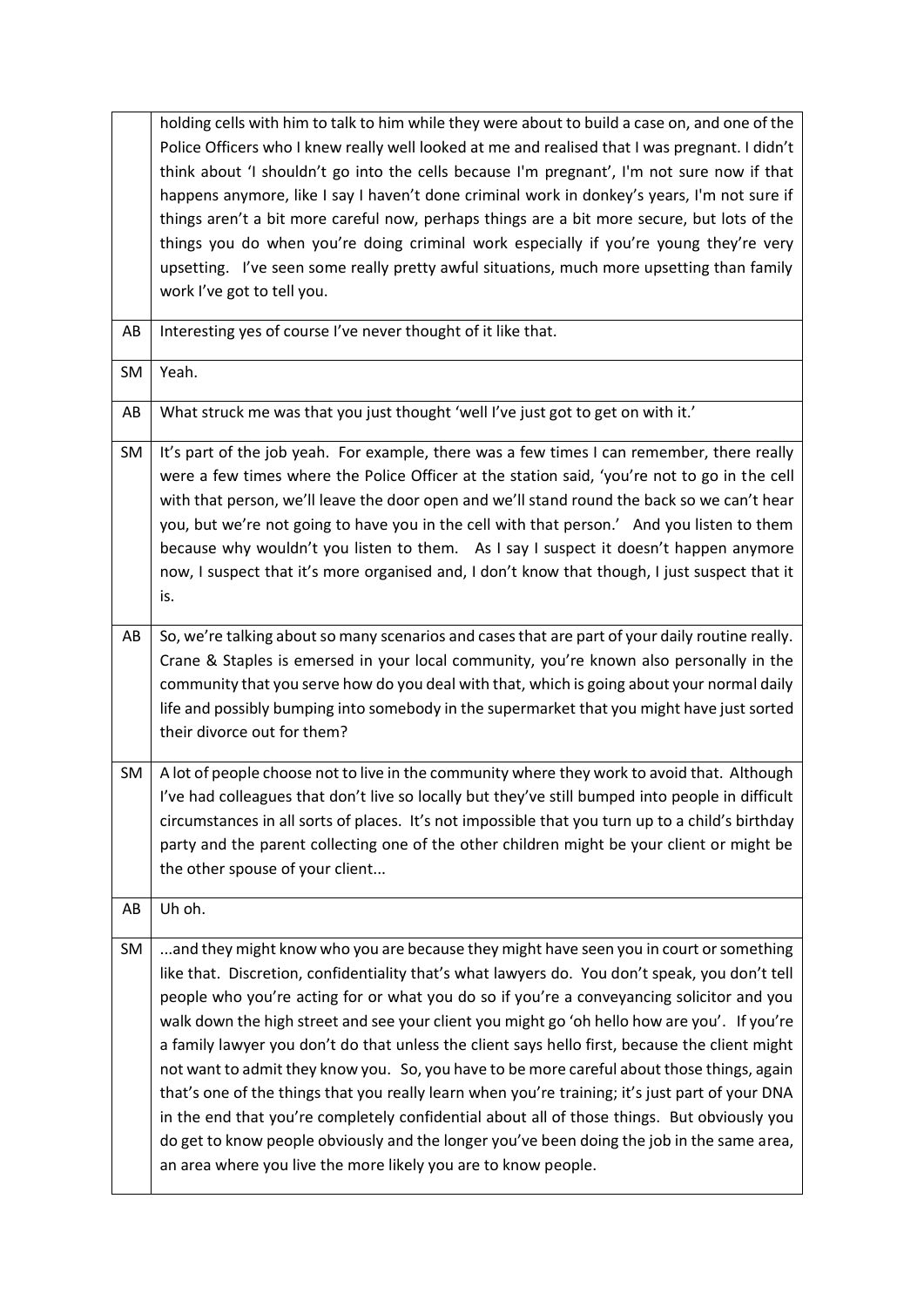|    | holding cells with him to talk to him while they were about to build a case on, and one of the<br>Police Officers who I knew really well looked at me and realised that I was pregnant. I didn't<br>think about 'I shouldn't go into the cells because I'm pregnant', I'm not sure now if that<br>happens anymore, like I say I haven't done criminal work in donkey's years, I'm not sure if<br>things aren't a bit more careful now, perhaps things are a bit more secure, but lots of the<br>things you do when you're doing criminal work especially if you're young they're very<br>upsetting. I've seen some really pretty awful situations, much more upsetting than family                                                                                                                                                                                                                                                                      |
|----|---------------------------------------------------------------------------------------------------------------------------------------------------------------------------------------------------------------------------------------------------------------------------------------------------------------------------------------------------------------------------------------------------------------------------------------------------------------------------------------------------------------------------------------------------------------------------------------------------------------------------------------------------------------------------------------------------------------------------------------------------------------------------------------------------------------------------------------------------------------------------------------------------------------------------------------------------------|
| AB | work I've got to tell you.<br>Interesting yes of course I've never thought of it like that.                                                                                                                                                                                                                                                                                                                                                                                                                                                                                                                                                                                                                                                                                                                                                                                                                                                             |
| SM | Yeah.                                                                                                                                                                                                                                                                                                                                                                                                                                                                                                                                                                                                                                                                                                                                                                                                                                                                                                                                                   |
| AB | What struck me was that you just thought 'well I've just got to get on with it.'                                                                                                                                                                                                                                                                                                                                                                                                                                                                                                                                                                                                                                                                                                                                                                                                                                                                        |
| SM | It's part of the job yeah. For example, there was a few times I can remember, there really<br>were a few times where the Police Officer at the station said, 'you're not to go in the cell<br>with that person, we'll leave the door open and we'll stand round the back so we can't hear<br>you, but we're not going to have you in the cell with that person.' And you listen to them<br>because why wouldn't you listen to them. As I say I suspect it doesn't happen anymore<br>now, I suspect that it's more organised and, I don't know that though, I just suspect that it<br>is.                                                                                                                                                                                                                                                                                                                                                                |
| AB | So, we're talking about so many scenarios and cases that are part of your daily routine really.<br>Crane & Staples is emersed in your local community, you're known also personally in the<br>community that you serve how do you deal with that, which is going about your normal daily<br>life and possibly bumping into somebody in the supermarket that you might have just sorted<br>their divorce out for them?                                                                                                                                                                                                                                                                                                                                                                                                                                                                                                                                   |
| SM | A lot of people choose not to live in the community where they work to avoid that. Although<br>I've had colleagues that don't live so locally but they've still bumped into people in difficult<br>circumstances in all sorts of places. It's not impossible that you turn up to a child's birthday<br>party and the parent collecting one of the other children might be your client or might be<br>the other spouse of your client                                                                                                                                                                                                                                                                                                                                                                                                                                                                                                                    |
| AB | Uh oh.                                                                                                                                                                                                                                                                                                                                                                                                                                                                                                                                                                                                                                                                                                                                                                                                                                                                                                                                                  |
| SM | and they might know who you are because they might have seen you in court or something<br>like that. Discretion, confidentiality that's what lawyers do. You don't speak, you don't tell<br>people who you're acting for or what you do so if you're a conveyancing solicitor and you<br>walk down the high street and see your client you might go 'oh hello how are you'. If you're<br>a family lawyer you don't do that unless the client says hello first, because the client might<br>not want to admit they know you. So, you have to be more careful about those things, again<br>that's one of the things that you really learn when you're training; it's just part of your DNA<br>in the end that you're completely confidential about all of those things. But obviously you<br>do get to know people obviously and the longer you've been doing the job in the same area,<br>an area where you live the more likely you are to know people. |